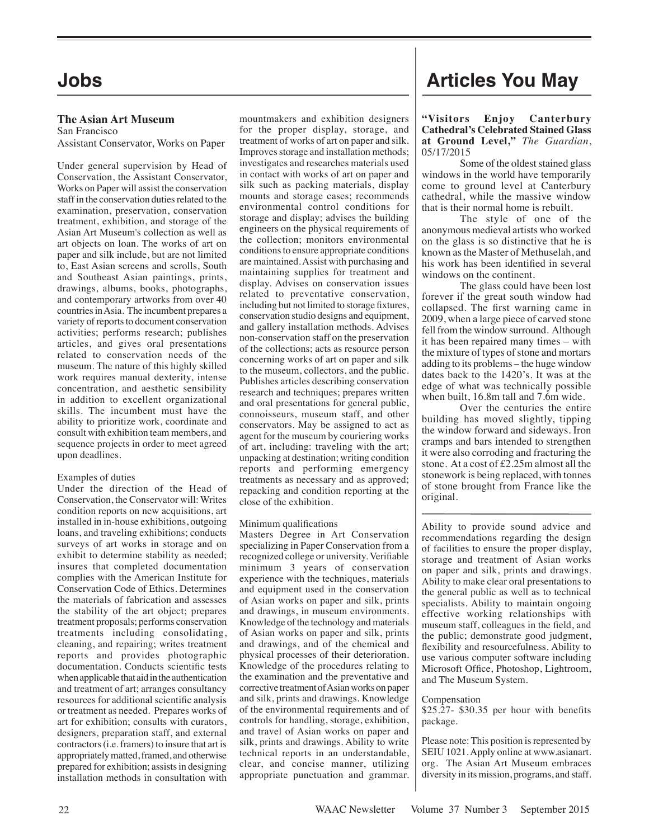# **The Asian Art Museum**

San Francisco Assistant Conservator, Works on Paper

Under general supervision by Head of Conservation, the Assistant Conservator, Works on Paper will assist the conservation staff in the conservation duties related to the examination, preservation, conservation treatment, exhibition, and storage of the Asian Art Museum's collection as well as art objects on loan. The works of art on paper and silk include, but are not limited to, East Asian screens and scrolls, South and Southeast Asian paintings, prints, drawings, albums, books, photographs, and contemporary artworks from over 40 countries in Asia. The incumbent prepares a variety of reports to document conservation activities; performs research; publishes articles, and gives oral presentations related to conservation needs of the museum. The nature of this highly skilled work requires manual dexterity, intense concentration, and aesthetic sensibility in addition to excellent organizational skills. The incumbent must have the ability to prioritize work, coordinate and consult with exhibition team members, and sequence projects in order to meet agreed upon deadlines.

### Examples of duties

Under the direction of the Head of Conservation, the Conservator will: Writes condition reports on new acquisitions, art installed in in-house exhibitions, outgoing loans, and traveling exhibitions; conducts surveys of art works in storage and on exhibit to determine stability as needed; insures that completed documentation complies with the American Institute for Conservation Code of Ethics. Determines the materials of fabrication and assesses the stability of the art object; prepares treatment proposals; performs conservation treatments including consolidating, cleaning, and repairing; writes treatment reports and provides photographic documentation. Conducts scientific tests when applicable that aid in the authentication and treatment of art; arranges consultancy resources for additional scientific analysis or treatment as needed. Prepares works of art for exhibition; consults with curators, designers, preparation staff, and external contractors (i.e. framers) to insure that art is appropriately matted, framed, and otherwise prepared for exhibition; assists in designing installation methods in consultation with

mountmakers and exhibition designers for the proper display, storage, and treatment of works of art on paper and silk. Improves storage and installation methods; investigates and researches materials used in contact with works of art on paper and silk such as packing materials, display mounts and storage cases; recommends environmental control conditions for storage and display; advises the building engineers on the physical requirements of the collection; monitors environmental conditions to ensure appropriate conditions are maintained. Assist with purchasing and maintaining supplies for treatment and display. Advises on conservation issues related to preventative conservation, including but not limited to storage fixtures, conservation studio designs and equipment, and gallery installation methods. Advises non-conservation staff on the preservation of the collections; acts as resource person concerning works of art on paper and silk to the museum, collectors, and the public. Publishes articles describing conservation research and techniques; prepares written and oral presentations for general public, connoisseurs, museum staff, and other conservators. May be assigned to act as agent for the museum by couriering works of art, including: traveling with the art; unpacking at destination; writing condition reports and performing emergency treatments as necessary and as approved; repacking and condition reporting at the close of the exhibition.

### Minimum qualifications

Masters Degree in Art Conservation specializing in Paper Conservation from a recognized college or university. Verifiable minimum 3 years of conservation experience with the techniques, materials and equipment used in the conservation of Asian works on paper and silk, prints and drawings, in museum environments. Knowledge of the technology and materials of Asian works on paper and silk, prints and drawings, and of the chemical and physical processes of their deterioration. Knowledge of the procedures relating to the examination and the preventative and corrective treatment of Asian works on paper and silk, prints and drawings. Knowledge of the environmental requirements and of controls for handling, storage, exhibition, and travel of Asian works on paper and silk, prints and drawings. Ability to write technical reports in an understandable, clear, and concise manner, utilizing appropriate punctuation and grammar.

# **Jobs Articles You May**

#### **"Visitors Enjoy Canterbury Cathedral's Celebrated Stained Glass at Ground Level,"** *The Guardian*, 05/17/2015

Some of the oldest stained glass windows in the world have temporarily come to ground level at Canterbury cathedral, while the massive window that is their normal home is rebuilt.

The style of one of the anonymous medieval artists who worked on the glass is so distinctive that he is known as the Master of Methuselah, and his work has been identified in several windows on the continent.

The glass could have been lost forever if the great south window had collapsed. The first warning came in 2009, when a large piece of carved stone fell from the window surround. Although it has been repaired many times – with the mixture of types of stone and mortars adding to its problems – the huge window dates back to the 1420's. It was at the edge of what was technically possible when built, 16.8m tall and 7.6m wide.

Over the centuries the entire building has moved slightly, tipping the window forward and sideways. Iron cramps and bars intended to strengthen it were also corroding and fracturing the stone. At a cost of £2.25m almost all the stonework is being replaced, with tonnes of stone brought from France like the original.

Ability to provide sound advice and recommendations regarding the design of facilities to ensure the proper display, storage and treatment of Asian works on paper and silk, prints and drawings. Ability to make clear oral presentations to the general public as well as to technical specialists. Ability to maintain ongoing effective working relationships with museum staff, colleagues in the field, and the public; demonstrate good judgment, flexibility and resourcefulness. Ability to use various computer software including Microsoft Office, Photoshop, Lightroom, and The Museum System.

### Compensation

\$25.27- \$30.35 per hour with benefits package.

Please note: This position is represented by SEIU 1021. Apply online at www.asianart. org. The Asian Art Museum embraces diversity in its mission, programs, and staff.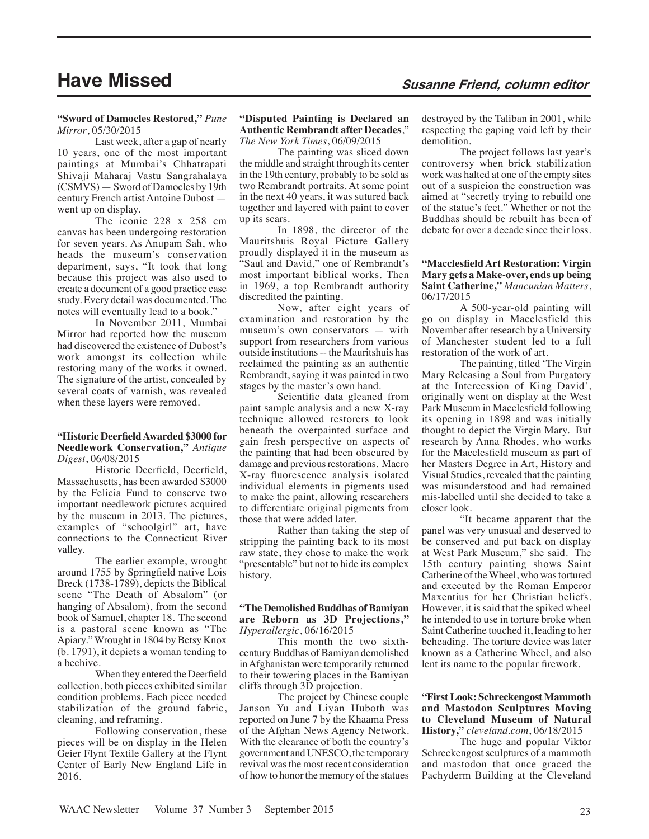# **Have Missed Susanne Friend, column editor**

#### **"Sword of Damocles Restored,"** *Pune Mirror*, 05/30/2015

Last week, after a gap of nearly 10 years, one of the most important paintings at Mumbai's Chhatrapati Shivaji Maharaj Vastu Sangrahalaya (CSMVS) — Sword of Damocles by 19th century French artist Antoine Dubost went up on display.

The iconic 228 x 258 cm canvas has been undergoing restoration for seven years. As Anupam Sah, who heads the museum's conservation department, says, "It took that long because this project was also used to create a document of a good practice case study. Every detail was documented. The notes will eventually lead to a book."

In November 2011, Mumbai Mirror had reported how the museum had discovered the existence of Dubost's work amongst its collection while restoring many of the works it owned. The signature of the artist, concealed by several coats of varnish, was revealed when these layers were removed.

#### **"Historic Deerfield Awarded \$3000 for Needlework Conservation,"** *Antique Digest*, 06/08/2015

Historic Deerfield, Deerfield, Massachusetts, has been awarded \$3000 by the Felicia Fund to conserve two important needlework pictures acquired by the museum in 2013. The pictures, examples of "schoolgirl" art, have connections to the Connecticut River valley.

The earlier example, wrought around 1755 by Springfield native Lois Breck (1738-1789), depicts the Biblical scene "The Death of Absalom" (or hanging of Absalom), from the second book of Samuel, chapter 18. The second is a pastoral scene known as "The Apiary." Wrought in 1804 by Betsy Knox (b. 1791), it depicts a woman tending to a beehive.

When they entered the Deerfield collection, both pieces exhibited similar condition problems. Each piece needed stabilization of the ground fabric, cleaning, and reframing.

Following conservation, these pieces will be on display in the Helen Geier Flynt Textile Gallery at the Flynt Center of Early New England Life in 2016.

#### **"Disputed Painting is Declared an Authentic Rembrandt after Decades**," *The New York Times*, 06/09/2015

The painting was sliced down the middle and straight through its center in the 19th century, probably to be sold as two Rembrandt portraits. At some point in the next 40 years, it was sutured back together and layered with paint to cover up its scars.

In 1898, the director of the Mauritshuis Royal Picture Gallery proudly displayed it in the museum as 'Saul and David," one of Rembrandt's most important biblical works. Then in 1969, a top Rembrandt authority discredited the painting.

Now, after eight years of examination and restoration by the museum's own conservators — with support from researchers from various outside institutions -- the Mauritshuis has reclaimed the painting as an authentic Rembrandt, saying it was painted in two stages by the master's own hand.

Scientific data gleaned from paint sample analysis and a new X-ray technique allowed restorers to look beneath the overpainted surface and gain fresh perspective on aspects of the painting that had been obscured by damage and previous restorations. Macro X-ray fluorescence analysis isolated individual elements in pigments used to make the paint, allowing researchers to differentiate original pigments from those that were added later.

Rather than taking the step of stripping the painting back to its most raw state, they chose to make the work "presentable" but not to hide its complex history.

#### **"The Demolished Buddhas of Bamiyan are Reborn as 3D Projections,"** *Hyperallergic*, 06/16/2015

This month the two sixthcentury Buddhas of Bamiyan demolished in Afghanistan were temporarily returned to their towering places in the Bamiyan cliffs through 3D projection.

The project by Chinese couple Janson Yu and Liyan Huboth was reported on June 7 by the Khaama Press of the Afghan News Agency Network. With the clearance of both the country's government and UNESCO, the temporary revival was the most recent consideration of how to honor the memory of the statues destroyed by the Taliban in 2001, while respecting the gaping void left by their demolition.

The project follows last year's controversy when brick stabilization work was halted at one of the empty sites out of a suspicion the construction was aimed at "secretly trying to rebuild one of the statue's feet." Whether or not the Buddhas should be rebuilt has been of debate for over a decade since their loss.

### **"Macclesfield Art Restoration: Virgin Mary gets a Make-over, ends up being Saint Catherine,"** *Mancunian Matters*, 06/17/2015

A 500-year-old painting will go on display in Macclesfield this November after research by a University of Manchester student led to a full restoration of the work of art.

The painting, titled 'The Virgin Mary Releasing a Soul from Purgatory at the Intercession of King David', originally went on display at the West Park Museum in Macclesfield following its opening in 1898 and was initially thought to depict the Virgin Mary. But research by Anna Rhodes, who works for the Macclesfield museum as part of her Masters Degree in Art, History and Visual Studies, revealed that the painting was misunderstood and had remained mis-labelled until she decided to take a closer look.

"It became apparent that the panel was very unusual and deserved to be conserved and put back on display at West Park Museum," she said. The 15th century painting shows Saint Catherine of the Wheel, who was tortured and executed by the Roman Emperor Maxentius for her Christian beliefs. However, it is said that the spiked wheel he intended to use in torture broke when Saint Catherine touched it, leading to her beheading. The torture device was later known as a Catherine Wheel, and also lent its name to the popular firework.

#### **"First Look: Schreckengost Mammoth and Mastodon Sculptures Moving to Cleveland Museum of Natural History,"** *cleveland.com*, 06/18/2015

The huge and popular Viktor Schreckengost sculptures of a mammoth and mastodon that once graced the Pachyderm Building at the Cleveland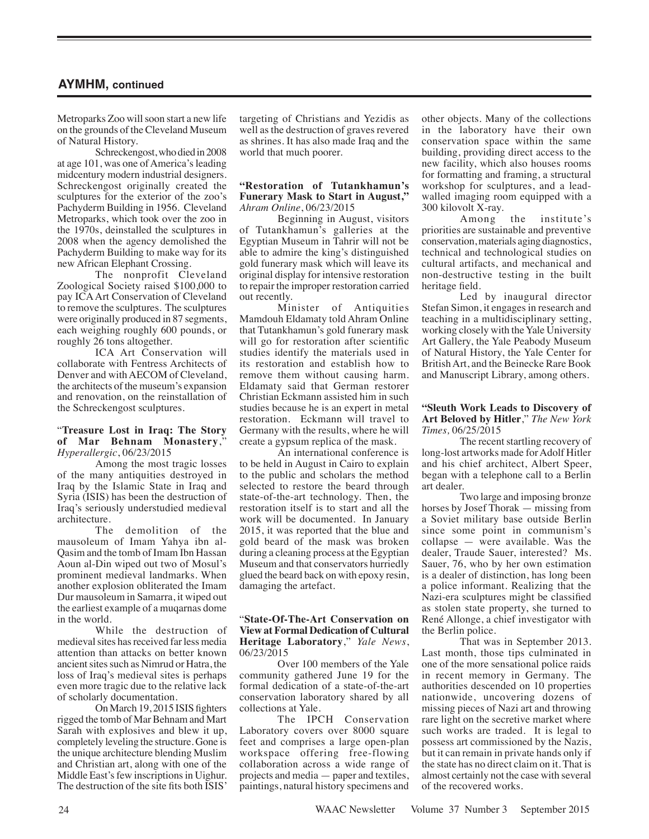Metroparks Zoo will soon start a new life on the grounds of the Cleveland Museum of Natural History.

Schreckengost, who died in 2008 at age 101, was one of America's leading midcentury modern industrial designers. Schreckengost originally created the sculptures for the exterior of the zoo's Pachyderm Building in 1956. Cleveland Metroparks, which took over the zoo in the 1970s, deinstalled the sculptures in 2008 when the agency demolished the Pachyderm Building to make way for its new African Elephant Crossing.

The nonprofit Cleveland Zoological Society raised \$100,000 to pay ICA Art Conservation of Cleveland to remove the sculptures. The sculptures were originally produced in 87 segments, each weighing roughly 600 pounds, or roughly 26 tons altogether.

ICA Art Conservation will collaborate with Fentress Architects of Denver and with AECOM of Cleveland, the architects of the museum's expansion and renovation, on the reinstallation of the Schreckengost sculptures.

#### "**Treasure Lost in Iraq: The Story of Mar Behnam Monastery**," *Hyperallergic*, 06/23/2015

Among the most tragic losses of the many antiquities destroyed in Iraq by the Islamic State in Iraq and Syria (ISIS) has been the destruction of Iraq's seriously understudied medieval architecture.

The demolition of the mausoleum of Imam Yahya ibn al-Qasim and the tomb of Imam Ibn Hassan Aoun al-Din wiped out two of Mosul's prominent medieval landmarks. When another explosion obliterated the Imam Dur mausoleum in Samarra, it wiped out the earliest example of a muqarnas dome in the world.

While the destruction of medieval sites has received far less media attention than attacks on better known ancient sites such as Nimrud or Hatra, the loss of Iraq's medieval sites is perhaps even more tragic due to the relative lack of scholarly documentation.

On March 19, 2015 ISIS fighters rigged the tomb of Mar Behnam and Mart Sarah with explosives and blew it up, completely leveling the structure. Gone is the unique architecture blending Muslim and Christian art, along with one of the Middle East's few inscriptions in Uighur. The destruction of the site fits both ISIS'

targeting of Christians and Yezidis as well as the destruction of graves revered as shrines. It has also made Iraq and the world that much poorer.

#### **"Restoration of Tutankhamun's Funerary Mask to Start in August,"** *Ahram Online*, 06/23/2015

Beginning in August, visitors of Tutankhamun's galleries at the Egyptian Museum in Tahrir will not be able to admire the king's distinguished gold funerary mask which will leave its original display for intensive restoration to repair the improper restoration carried out recently.

Minister of Antiquities Mamdouh Eldamaty told Ahram Online that Tutankhamun's gold funerary mask will go for restoration after scientific studies identify the materials used in its restoration and establish how to remove them without causing harm. Eldamaty said that German restorer Christian Eckmann assisted him in such studies because he is an expert in metal restoration. Eckmann will travel to Germany with the results, where he will create a gypsum replica of the mask.

An international conference is to be held in August in Cairo to explain to the public and scholars the method selected to restore the beard through state-of-the-art technology. Then, the restoration itself is to start and all the work will be documented. In January 2015, it was reported that the blue and gold beard of the mask was broken during a cleaning process at the Egyptian Museum and that conservators hurriedly glued the beard back on with epoxy resin, damaging the artefact.

#### "**State-Of-The-Art Conservation on View at Formal Dedication of Cultural Heritage Laboratory**," *Yale News*, 06/23/2015

Over 100 members of the Yale community gathered June 19 for the formal dedication of a state-of-the-art conservation laboratory shared by all collections at Yale.

The IPCH Conservation Laboratory covers over 8000 square feet and comprises a large open-plan workspace offering free-flowing collaboration across a wide range of projects and media — paper and textiles, paintings, natural history specimens and other objects. Many of the collections in the laboratory have their own conservation space within the same building, providing direct access to the new facility, which also houses rooms for formatting and framing, a structural workshop for sculptures, and a leadwalled imaging room equipped with a 300 kilovolt X-ray.

Among the institute's priorities are sustainable and preventive conservation, materials aging diagnostics, technical and technological studies on cultural artifacts, and mechanical and non-destructive testing in the built heritage field.

Led by inaugural director Stefan Simon, it engages in research and teaching in a multidisciplinary setting, working closely with the Yale University Art Gallery, the Yale Peabody Museum of Natural History, the Yale Center for British Art, and the Beinecke Rare Book and Manuscript Library, among others.

#### **"Sleuth Work Leads to Discovery of Art Beloved by Hitler**," *The New York Times,* 06/25/2015

The recent startling recovery of long-lost artworks made for Adolf Hitler and his chief architect, Albert Speer, began with a telephone call to a Berlin art dealer.

Two large and imposing bronze horses by Josef Thorak — missing from a Soviet military base outside Berlin since some point in communism's collapse — were available. Was the dealer, Traude Sauer, interested? Ms. Sauer, 76, who by her own estimation is a dealer of distinction, has long been a police informant. Realizing that the Nazi-era sculptures might be classified as stolen state property, she turned to René Allonge, a chief investigator with the Berlin police.

That was in September 2013. Last month, those tips culminated in one of the more sensational police raids in recent memory in Germany. The authorities descended on 10 properties nationwide, uncovering dozens of missing pieces of Nazi art and throwing rare light on the secretive market where such works are traded. It is legal to possess art commissioned by the Nazis, but it can remain in private hands only if the state has no direct claim on it. That is almost certainly not the case with several of the recovered works.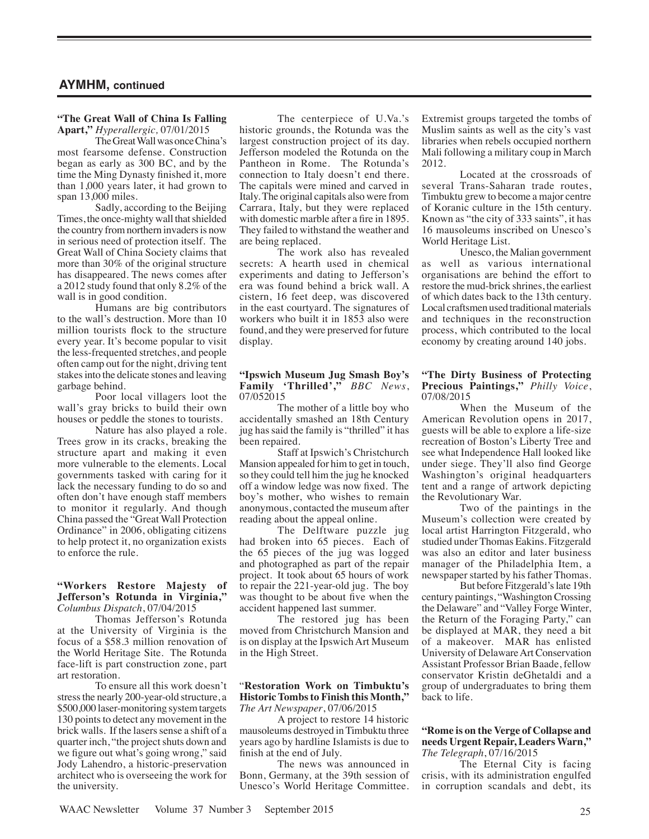# **"The Great Wall of China Is Falling**

**Apart,"** *Hyperallergic,* 07/01/2015 The Great Wall was once China's most fearsome defense. Construction began as early as 300 BC, and by the time the Ming Dynasty finished it, more than 1,000 years later, it had grown to span 13,000 miles.

Sadly, according to the Beijing Times, the once-mighty wall that shielded the country from northern invaders is now in serious need of protection itself. The Great Wall of China Society claims that more than 30% of the original structure has disappeared. The news comes after a 2012 study found that only 8.2% of the wall is in good condition.

Humans are big contributors to the wall's destruction. More than 10 million tourists flock to the structure every year. It's become popular to visit the less-frequented stretches, and people often camp out for the night, driving tent stakes into the delicate stones and leaving garbage behind.

Poor local villagers loot the wall's gray bricks to build their own houses or peddle the stones to tourists.

Nature has also played a role. Trees grow in its cracks, breaking the structure apart and making it even more vulnerable to the elements. Local governments tasked with caring for it lack the necessary funding to do so and often don't have enough staff members to monitor it regularly. And though China passed the "Great Wall Protection Ordinance" in 2006, obligating citizens to help protect it, no organization exists to enforce the rule.

#### **"Workers Restore Majesty of Jefferson's Rotunda in Virginia,"** *Columbus Dispatch*, 07/04/2015

Thomas Jefferson's Rotunda at the University of Virginia is the focus of a \$58.3 million renovation of the World Heritage Site. The Rotunda face-lift is part construction zone, part art restoration.

To ensure all this work doesn't stress the nearly 200-year-old structure, a \$500,000 laser-monitoring system targets 130 points to detect any movement in the brick walls. If the lasers sense a shift of a quarter inch, "the project shuts down and we figure out what's going wrong," said Jody Lahendro, a historic-preservation architect who is overseeing the work for the university.

The centerpiece of U.Va.'s historic grounds, the Rotunda was the largest construction project of its day. Jefferson modeled the Rotunda on the Pantheon in Rome. The Rotunda's connection to Italy doesn't end there. The capitals were mined and carved in Italy. The original capitals also were from Carrara, Italy, but they were replaced with domestic marble after a fire in 1895. They failed to withstand the weather and are being replaced.

The work also has revealed secrets: A hearth used in chemical experiments and dating to Jefferson's era was found behind a brick wall. A cistern, 16 feet deep, was discovered in the east courtyard. The signatures of workers who built it in 1853 also were found, and they were preserved for future display.

#### **"Ipswich Museum Jug Smash Boy's Family 'Thrilled',"** *BBC News*, 07/052015

The mother of a little boy who accidentally smashed an 18th Century jug has said the family is "thrilled" it has been repaired.

Staff at Ipswich's Christchurch Mansion appealed for him to get in touch, so they could tell him the jug he knocked off a window ledge was now fixed. The boy's mother, who wishes to remain anonymous, contacted the museum after reading about the appeal online.

The Delftware puzzle jug had broken into 65 pieces. Each of the 65 pieces of the jug was logged and photographed as part of the repair project. It took about 65 hours of work to repair the 221-year-old jug. The boy was thought to be about five when the accident happened last summer.

The restored jug has been moved from Christchurch Mansion and is on display at the Ipswich Art Museum in the High Street.

#### "**Restoration Work on Timbuktu's Historic Tombs to Finish this Month,"** *The Art Newspaper*, 07/06/2015

A project to restore 14 historic mausoleums destroyed in Timbuktu three years ago by hardline Islamists is due to finish at the end of July.

The news was announced in Bonn, Germany, at the 39th session of Unesco's World Heritage Committee. Extremist groups targeted the tombs of Muslim saints as well as the city's vast libraries when rebels occupied northern Mali following a military coup in March 2012.

Located at the crossroads of several Trans-Saharan trade routes, Timbuktu grew to become a major centre of Koranic culture in the 15th century. Known as "the city of 333 saints", it has 16 mausoleums inscribed on Unesco's World Heritage List.

Unesco, the Malian government as well as various international organisations are behind the effort to restore the mud-brick shrines, the earliest of which dates back to the 13th century. Local craftsmen used traditional materials and techniques in the reconstruction process, which contributed to the local economy by creating around 140 jobs.

#### **"The Dirty Business of Protecting Precious Paintings,"** *Philly Voice*, 07/08/2015

When the Museum of the American Revolution opens in 2017, guests will be able to explore a life-size recreation of Boston's Liberty Tree and see what Independence Hall looked like under siege. They'll also find George Washington's original headquarters tent and a range of artwork depicting the Revolutionary War.

Two of the paintings in the Museum's collection were created by local artist Harrington Fitzgerald, who studied under Thomas Eakins. Fitzgerald was also an editor and later business manager of the Philadelphia Item, a newspaper started by his father Thomas.

But before Fitzgerald's late 19th century paintings, "Washington Crossing the Delaware" and "Valley Forge Winter, the Return of the Foraging Party," can be displayed at MAR, they need a bit of a makeover. MAR has enlisted University of Delaware Art Conservation Assistant Professor Brian Baade, fellow conservator Kristin deGhetaldi and a group of undergraduates to bring them back to life.

#### **"Rome is on the Verge of Collapse and needs Urgent Repair, Leaders Warn,"** *The Telegraph*, 07/16/2015

The Eternal City is facing crisis, with its administration engulfed in corruption scandals and debt, its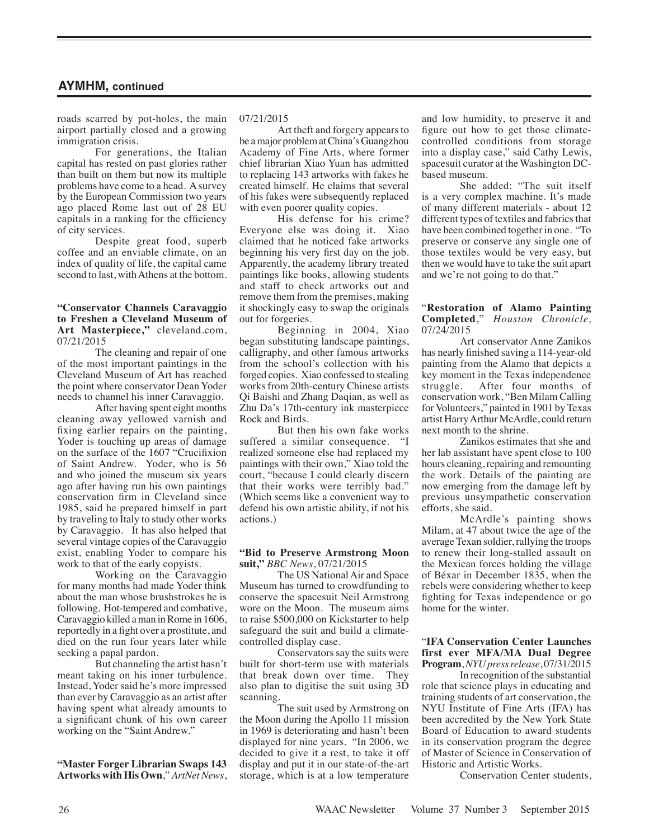roads scarred by pot-holes, the main airport partially closed and a growing immigration crisis.

For generations, the Italian capital has rested on past glories rather than built on them but now its multiple problems have come to a head. A survey by the European Commission two years ago placed Rome last out of 28 EU capitals in a ranking for the efficiency of city services.

Despite great food, superb coffee and an enviable climate, on an index of quality of life, the capital came second to last, with Athens at the bottom.

#### **"Conservator Channels Caravaggio to Freshen a Cleveland Museum of Art Masterpiece,"** cleveland.com, 07/21/2015

The cleaning and repair of one of the most important paintings in the Cleveland Museum of Art has reached the point where conservator Dean Yoder needs to channel his inner Caravaggio.

After having spent eight months cleaning away yellowed varnish and fixing earlier repairs on the painting, Yoder is touching up areas of damage on the surface of the 1607 "Crucifixion of Saint Andrew. Yoder, who is 56 and who joined the museum six years ago after having run his own paintings conservation firm in Cleveland since 1985, said he prepared himself in part by traveling to Italy to study other works by Caravaggio. It has also helped that several vintage copies of the Caravaggio exist, enabling Yoder to compare his work to that of the early copyists.

Working on the Caravaggio for many months had made Yoder think about the man whose brushstrokes he is following. Hot-tempered and combative, Caravaggio killed a man in Rome in 1606, reportedly in a fight over a prostitute, and died on the run four years later while seeking a papal pardon.

But channeling the artist hasn't meant taking on his inner turbulence. Instead, Yoder said he's more impressed than ever by Caravaggio as an artist after having spent what already amounts to a significant chunk of his own career working on the "Saint Andrew."

**"Master Forger Librarian Swaps 143 Artworks with His Own**," *ArtNet News*,

### 07/21/2015

Art theft and forgery appears to be a major problem at China's Guangzhou Academy of Fine Arts, where former chief librarian Xiao Yuan has admitted to replacing 143 artworks with fakes he created himself. He claims that several of his fakes were subsequently replaced with even poorer quality copies.

His defense for his crime? Everyone else was doing it. Xiao claimed that he noticed fake artworks beginning his very first day on the job. Apparently, the academy library treated paintings like books, allowing students and staff to check artworks out and remove them from the premises, making it shockingly easy to swap the originals out for forgeries.

Beginning in 2004, Xiao began substituting landscape paintings, calligraphy, and other famous artworks from the school's collection with his forged copies. Xiao confessed to stealing works from 20th-century Chinese artists Qi Baishi and Zhang Daqian, as well as Zhu Da's 17th-century ink masterpiece Rock and Birds.

But then his own fake works suffered a similar consequence. "I realized someone else had replaced my paintings with their own," Xiao told the court, "because I could clearly discern that their works were terribly bad." (Which seems like a convenient way to defend his own artistic ability, if not his actions.)

#### **"Bid to Preserve Armstrong Moon suit,"** *BBC News*, 07/21/2015

The US National Air and Space Museum has turned to crowdfunding to conserve the spacesuit Neil Armstrong wore on the Moon. The museum aims to raise \$500,000 on Kickstarter to help safeguard the suit and build a climatecontrolled display case.

Conservators say the suits were built for short-term use with materials that break down over time. They also plan to digitise the suit using 3D scanning.

The suit used by Armstrong on the Moon during the Apollo 11 mission in 1969 is deteriorating and hasn't been displayed for nine years. "In 2006, we decided to give it a rest, to take it off display and put it in our state-of-the-art storage, which is at a low temperature and low humidity, to preserve it and figure out how to get those climatecontrolled conditions from storage into a display case," said Cathy Lewis, spacesuit curator at the Washington DCbased museum.

She added: "The suit itself is a very complex machine. It's made of many different materials - about 12 different types of textiles and fabrics that have been combined together in one. "To preserve or conserve any single one of those textiles would be very easy, but then we would have to take the suit apart and we're not going to do that."

#### "**Restoration of Alamo Painting Completed**," *Houston Chronicle,* 07/24/2015

Art conservator Anne Zanikos has nearly finished saving a 114-year-old painting from the Alamo that depicts a key moment in the Texas independence struggle. After four months of conservation work, "Ben Milam Calling for Volunteers," painted in 1901 by Texas artist Harry Arthur McArdle, could return next month to the shrine.

Zanikos estimates that she and her lab assistant have spent close to 100 hours cleaning, repairing and remounting the work. Details of the painting are now emerging from the damage left by previous unsympathetic conservation efforts, she said.

McArdle's painting shows Milam, at 47 about twice the age of the average Texan soldier, rallying the troops to renew their long-stalled assault on the Mexican forces holding the village of Béxar in December 1835, when the rebels were considering whether to keep fighting for Texas independence or go home for the winter.

#### "**IFA Conservation Center Launches first ever MFA/MA Dual Degree Program**, *NYU press release*, 07/31/2015

In recognition of the substantial role that science plays in educating and training students of art conservation, the NYU Institute of Fine Arts (IFA) has been accredited by the New York State Board of Education to award students in its conservation program the degree of Master of Science in Conservation of Historic and Artistic Works.

Conservation Center students,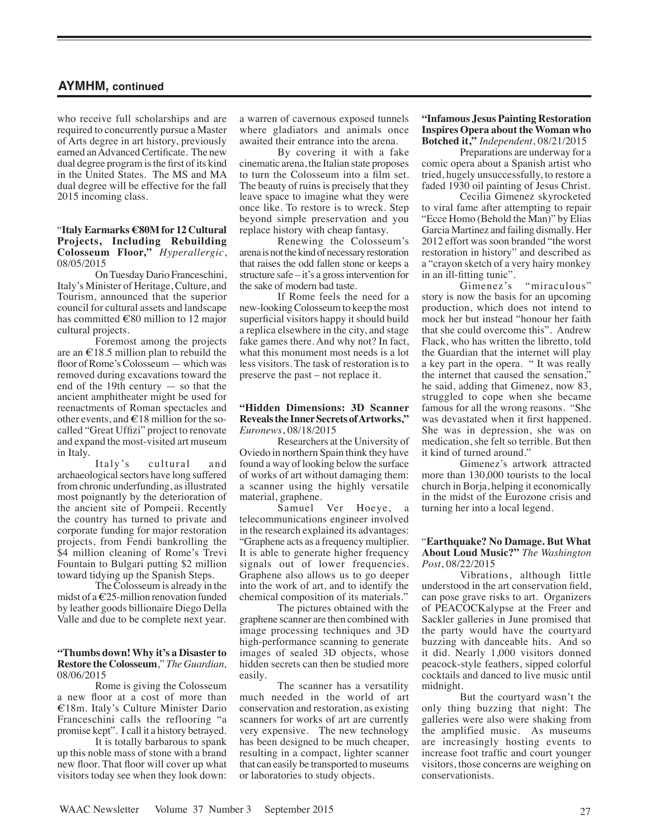who receive full scholarships and are required to concurrently pursue a Master of Arts degree in art history, previously earned an Advanced Certificate. The new dual degree program is the first of its kind in the United States. The MS and MA dual degree will be effective for the fall 2015 incoming class.

#### "**Italy Earmarks €80M for 12 Cultural Projects, Including Rebuilding Colosseum Floor,"** *Hyperallergic*, 08/05/2015

On Tuesday Dario Franceschini, Italy's Minister of Heritage, Culture, and Tourism, announced that the superior council for cultural assets and landscape has committed €80 million to 12 major cultural projects.

Foremost among the projects are an  $\epsilon$ 18.5 million plan to rebuild the floor of Rome's Colosseum — which was removed during excavations toward the end of the 19th century — so that the ancient amphitheater might be used for reenactments of Roman spectacles and other events, and  $\in$  18 million for the socalled "Great Uffizi" project to renovate and expand the most-visited art museum in Italy.

Italy's cultural and archaeological sectors have long suffered from chronic underfunding, as illustrated most poignantly by the deterioration of the ancient site of Pompeii. Recently the country has turned to private and corporate funding for major restoration projects, from Fendi bankrolling the \$4 million cleaning of Rome's Trevi Fountain to Bulgari putting \$2 million toward tidying up the Spanish Steps.

The Colosseum is already in the midst of a  $\epsilon$ 25-million renovation funded by leather goods billionaire Diego Della Valle and due to be complete next year.

#### **"Thumbs down! Why it's a Disaster to Restore the Colosseum**," *The Guardian,* 08/06/2015

Rome is giving the Colosseum a new floor at a cost of more than €18m. Italy's Culture Minister Dario Franceschini calls the reflooring "a promise kept". I call it a history betrayed.

It is totally barbarous to spank up this noble mass of stone with a brand new floor. That floor will cover up what visitors today see when they look down:

a warren of cavernous exposed tunnels where gladiators and animals once awaited their entrance into the arena.

By covering it with a fake cinematic arena, the Italian state proposes to turn the Colosseum into a film set. The beauty of ruins is precisely that they leave space to imagine what they were once like. To restore is to wreck. Step beyond simple preservation and you replace history with cheap fantasy.

Renewing the Colosseum's arena is not the kind of necessary restoration that raises the odd fallen stone or keeps a structure safe – it's a gross intervention for the sake of modern bad taste.

If Rome feels the need for a new-looking Colosseum to keep the most superficial visitors happy it should build a replica elsewhere in the city, and stage fake games there. And why not? In fact, what this monument most needs is a lot less visitors. The task of restoration is to preserve the past – not replace it.

#### **"Hidden Dimensions: 3D Scanner Reveals the Inner Secrets of Artworks,"** *Euronews*, 08/18/2015

Researchers at the University of Oviedo in northern Spain think they have found a way of looking below the surface of works of art without damaging them: a scanner using the highly versatile material, graphene.

Samuel Ver Hoeye, a telecommunications engineer involved in the research explained its advantages: "Graphene acts as a frequency multiplier. It is able to generate higher frequency signals out of lower frequencies. Graphene also allows us to go deeper into the work of art, and to identify the chemical composition of its materials."

The pictures obtained with the graphene scanner are then combined with image processing techniques and 3D high-performance scanning to generate images of sealed 3D objects, whose hidden secrets can then be studied more easily.

The scanner has a versatility much needed in the world of art conservation and restoration, as existing scanners for works of art are currently very expensive. The new technology has been designed to be much cheaper, resulting in a compact, lighter scanner that can easily be transported to museums or laboratories to study objects.

#### **"Infamous Jesus Painting Restoration Inspires Opera about the Woman who Botched it,"** *Independent*, 08/21/2015

Preparations are underway for a comic opera about a Spanish artist who tried, hugely unsuccessfully, to restore a faded 1930 oil painting of Jesus Christ.

Cecilia Gimenez skyrocketed to viral fame after attempting to repair "Ecce Homo (Behold the Man)" by Elias Garcia Martinez and failing dismally. Her 2012 effort was soon branded "the worst restoration in history" and described as a "crayon sketch of a very hairy monkey in an ill-fitting tunic".<br>Gimenez's

"miraculous" story is now the basis for an upcoming production, which does not intend to mock her but instead "honour her faith that she could overcome this". Andrew Flack, who has written the libretto, told the Guardian that the internet will play a key part in the opera. " It was really the internet that caused the sensation," he said, adding that Gimenez, now 83, struggled to cope when she became famous for all the wrong reasons. "She was devastated when it first happened. She was in depression, she was on medication, she felt so terrible. But then it kind of turned around."

Gimenez's artwork attracted more than 130,000 tourists to the local church in Borja, helping it economically in the midst of the Eurozone crisis and turning her into a local legend.

#### "**Earthquake? No Damage. But What About Loud Music?"** *The Washington Post*, 08/22/2015

Vibrations, although little understood in the art conservation field, can pose grave risks to art. Organizers of PEACOCKalypse at the Freer and Sackler galleries in June promised that the party would have the courtyard buzzing with danceable hits. And so it did. Nearly 1,000 visitors donned peacock-style feathers, sipped colorful cocktails and danced to live music until midnight.

But the courtyard wasn't the only thing buzzing that night: The galleries were also were shaking from the amplified music. As museums are increasingly hosting events to increase foot traffic and court younger visitors, those concerns are weighing on conservationists.